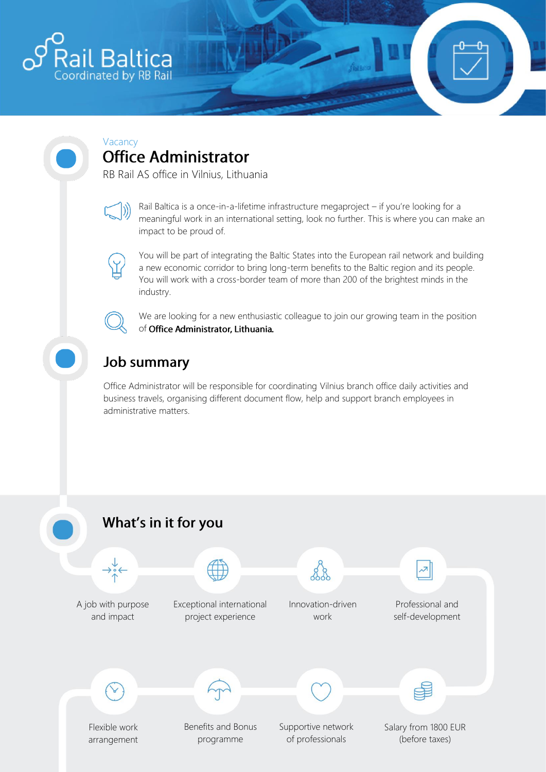

## Vacancy<br>**Office Administrator**

RB Rail AS office in Vilnius, Lithuania



Rail Baltica is a once-in-a-lifetime infrastructure megaproject – if you're looking for a meaningful work in an international setting, look no further. This is where you can make an impact to be proud of.



You will be part of integrating the Baltic States into the European rail network and building a new economic corridor to bring long-term benefits to the Baltic region and its people. You will work with a cross-border team of more than 200 of the brightest minds in the industry.



We are looking for a new enthusiastic colleague to join our growing team in the position of Office Administrator, Lithuania.

## **Job summary**

Office Administrator will be responsible for coordinating Vilnius branch office daily activities and business travels, organising different document flow, help and support branch employees in administrative matters.